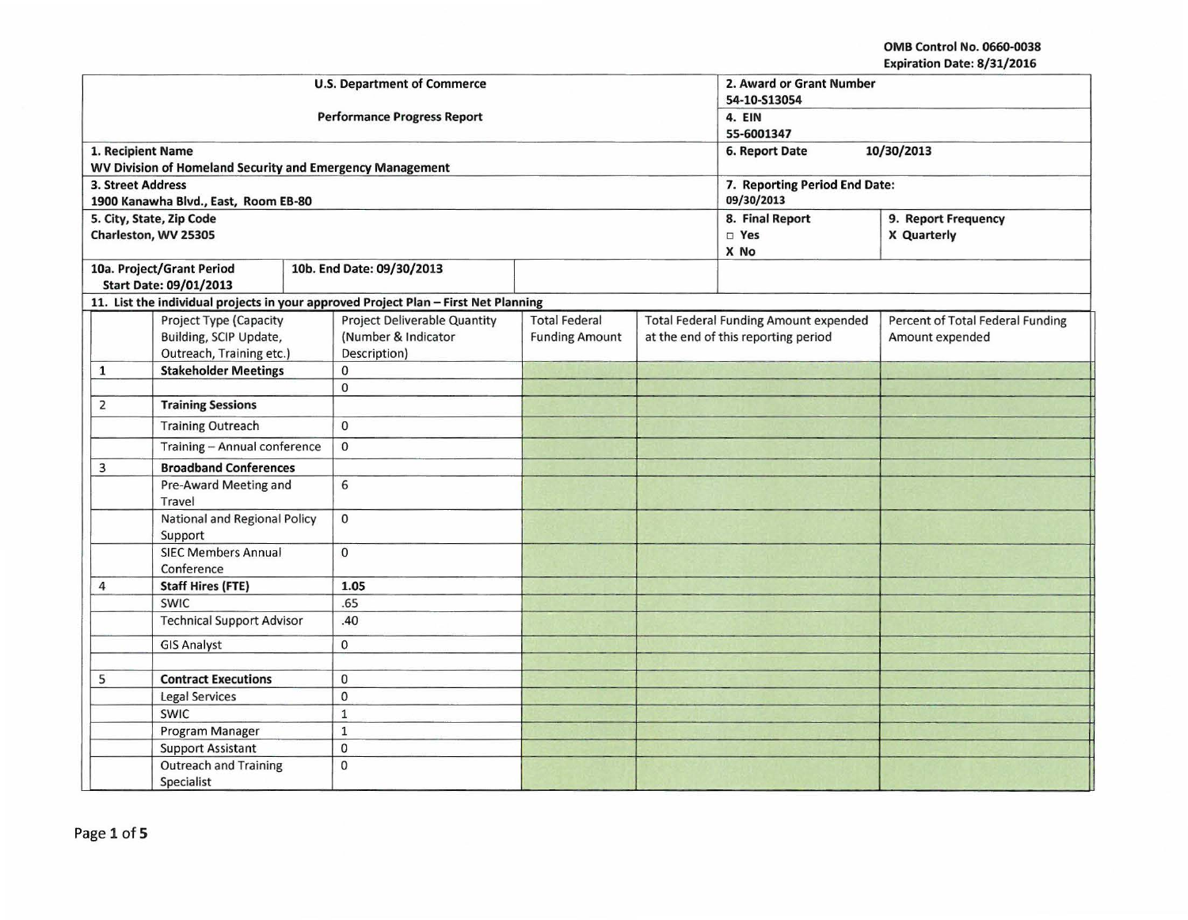## OMB Control No. 0660-0038 Expiration Date: 8/31/2016

|                                            |                                                                              | <b>U.S. Department of Commerce</b>                                                  | 2. Award or Grant Number<br>54-10-S13054      |                                                                                     |                                             |                                                     |  |
|--------------------------------------------|------------------------------------------------------------------------------|-------------------------------------------------------------------------------------|-----------------------------------------------|-------------------------------------------------------------------------------------|---------------------------------------------|-----------------------------------------------------|--|
|                                            |                                                                              | <b>Performance Progress Report</b>                                                  | 4. EIN<br>55-6001347                          |                                                                                     |                                             |                                                     |  |
| 1. Recipient Name                          |                                                                              |                                                                                     |                                               | 6. Report Date<br>10/30/2013                                                        |                                             |                                                     |  |
|                                            | WV Division of Homeland Security and Emergency Management                    |                                                                                     |                                               |                                                                                     |                                             |                                                     |  |
| 3. Street Address                          | 1900 Kanawha Blvd., East, Room EB-80                                         |                                                                                     |                                               |                                                                                     | 7. Reporting Period End Date:<br>09/30/2013 |                                                     |  |
|                                            | 5. City, State, Zip Code                                                     |                                                                                     |                                               |                                                                                     | 8. Final Report<br>9. Report Frequency      |                                                     |  |
|                                            | Charleston, WV 25305                                                         |                                                                                     |                                               |                                                                                     | □ Yes<br>X No                               | X Quarterly                                         |  |
|                                            | 10a. Project/Grant Period<br><b>Start Date: 09/01/2013</b>                   | 10b. End Date: 09/30/2013                                                           |                                               |                                                                                     |                                             |                                                     |  |
|                                            |                                                                              | 11. List the individual projects in your approved Project Plan - First Net Planning |                                               |                                                                                     |                                             |                                                     |  |
|                                            | Project Type (Capacity<br>Building, SCIP Update,<br>Outreach, Training etc.) | <b>Project Deliverable Quantity</b><br>(Number & Indicator<br>Description)          | <b>Total Federal</b><br><b>Funding Amount</b> | <b>Total Federal Funding Amount expended</b><br>at the end of this reporting period |                                             | Percent of Total Federal Funding<br>Amount expended |  |
| $\mathbf{1}$                               | <b>Stakeholder Meetings</b>                                                  | 0                                                                                   |                                               |                                                                                     |                                             |                                                     |  |
|                                            |                                                                              | 0                                                                                   |                                               |                                                                                     |                                             |                                                     |  |
| 2                                          | <b>Training Sessions</b>                                                     |                                                                                     |                                               |                                                                                     |                                             |                                                     |  |
|                                            | <b>Training Outreach</b>                                                     | $\Omega$                                                                            |                                               |                                                                                     |                                             |                                                     |  |
|                                            | Training - Annual conference                                                 | $\mathbf 0$                                                                         |                                               |                                                                                     |                                             |                                                     |  |
| 3                                          | <b>Broadband Conferences</b>                                                 |                                                                                     |                                               |                                                                                     |                                             |                                                     |  |
| Pre-Award Meeting and<br>Travel            |                                                                              | 6                                                                                   |                                               |                                                                                     |                                             |                                                     |  |
| National and Regional Policy<br>Support    |                                                                              | $\mathbf{0}$                                                                        |                                               |                                                                                     |                                             |                                                     |  |
| <b>SIEC Members Annual</b><br>Conference   |                                                                              | $\mathbf 0$                                                                         |                                               |                                                                                     |                                             |                                                     |  |
| 4                                          | <b>Staff Hires (FTE)</b>                                                     | 1.05                                                                                |                                               |                                                                                     |                                             |                                                     |  |
|                                            | <b>SWIC</b>                                                                  | .65                                                                                 |                                               |                                                                                     |                                             |                                                     |  |
|                                            | <b>Technical Support Advisor</b>                                             | .40                                                                                 |                                               |                                                                                     |                                             |                                                     |  |
|                                            | <b>GIS Analyst</b>                                                           | $\mathbf 0$                                                                         |                                               |                                                                                     |                                             |                                                     |  |
|                                            |                                                                              |                                                                                     |                                               |                                                                                     |                                             |                                                     |  |
| 5                                          | <b>Contract Executions</b>                                                   | $\mathbf 0$                                                                         |                                               |                                                                                     |                                             |                                                     |  |
|                                            | <b>Legal Services</b>                                                        | $\mathbf{0}$                                                                        |                                               |                                                                                     |                                             |                                                     |  |
|                                            | SWIC                                                                         | $\mathbf 1$                                                                         |                                               |                                                                                     |                                             |                                                     |  |
|                                            | Program Manager                                                              | $\mathbf{1}$                                                                        |                                               |                                                                                     |                                             |                                                     |  |
|                                            | <b>Support Assistant</b>                                                     | $\mathbf 0$                                                                         |                                               |                                                                                     |                                             |                                                     |  |
| <b>Outreach and Training</b><br>Specialist |                                                                              | $\mathbf{0}$                                                                        |                                               |                                                                                     |                                             |                                                     |  |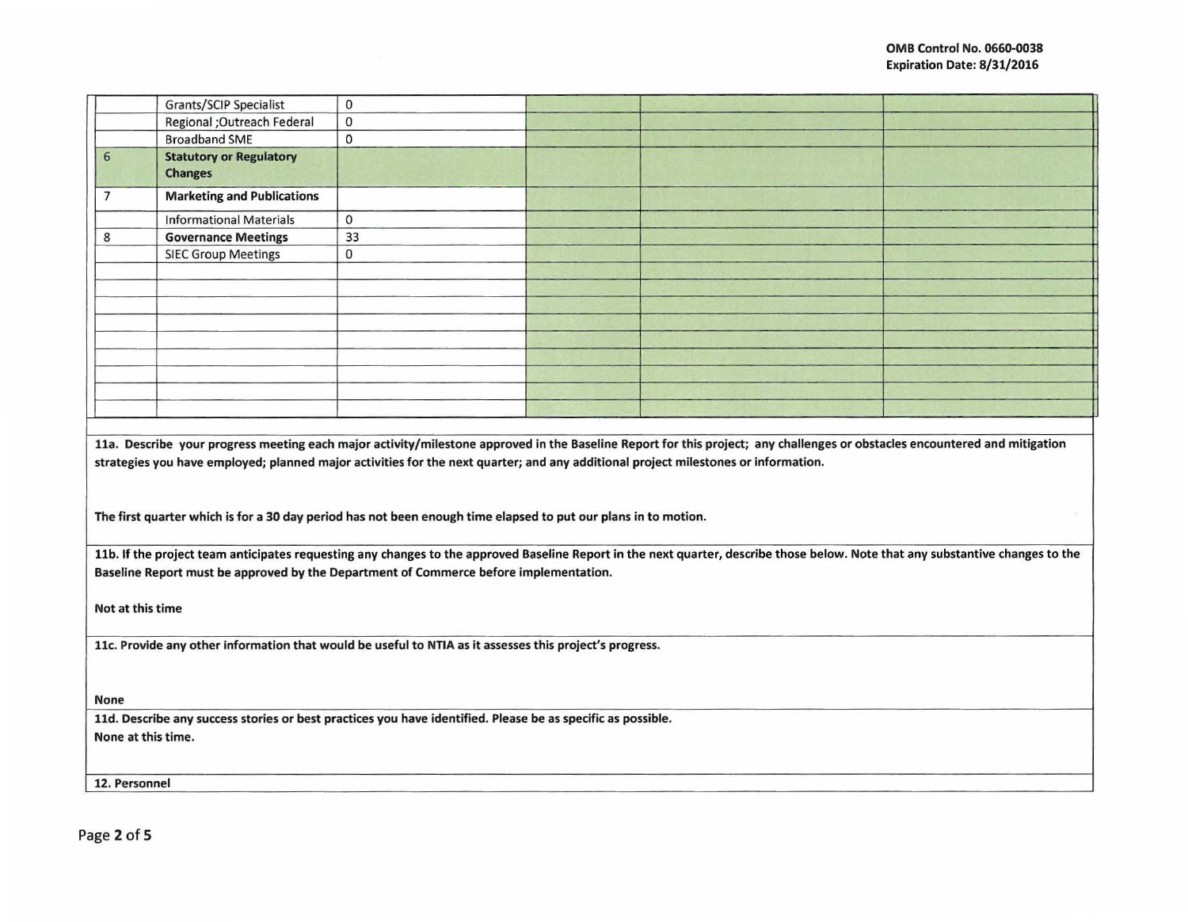|                                                                                                                                                                                                                                                                                                                                                                                                                                    | Grants/SCIP Specialist            | $\mathbf{0}$                                                                          |  |                                                                                                                                                                                 |  |  |  |  |
|------------------------------------------------------------------------------------------------------------------------------------------------------------------------------------------------------------------------------------------------------------------------------------------------------------------------------------------------------------------------------------------------------------------------------------|-----------------------------------|---------------------------------------------------------------------------------------|--|---------------------------------------------------------------------------------------------------------------------------------------------------------------------------------|--|--|--|--|
|                                                                                                                                                                                                                                                                                                                                                                                                                                    | Regional ; Outreach Federal       | $\mathbf 0$                                                                           |  |                                                                                                                                                                                 |  |  |  |  |
|                                                                                                                                                                                                                                                                                                                                                                                                                                    | <b>Broadband SME</b>              | $\mathbf 0$                                                                           |  |                                                                                                                                                                                 |  |  |  |  |
| 6                                                                                                                                                                                                                                                                                                                                                                                                                                  | <b>Statutory or Regulatory</b>    |                                                                                       |  |                                                                                                                                                                                 |  |  |  |  |
|                                                                                                                                                                                                                                                                                                                                                                                                                                    | <b>Changes</b>                    |                                                                                       |  |                                                                                                                                                                                 |  |  |  |  |
| $\overline{7}$                                                                                                                                                                                                                                                                                                                                                                                                                     | <b>Marketing and Publications</b> |                                                                                       |  |                                                                                                                                                                                 |  |  |  |  |
|                                                                                                                                                                                                                                                                                                                                                                                                                                    | <b>Informational Materials</b>    | $\mathbf{0}$                                                                          |  |                                                                                                                                                                                 |  |  |  |  |
| 8                                                                                                                                                                                                                                                                                                                                                                                                                                  | <b>Governance Meetings</b>        | 33                                                                                    |  |                                                                                                                                                                                 |  |  |  |  |
|                                                                                                                                                                                                                                                                                                                                                                                                                                    | <b>SIEC Group Meetings</b>        | $\mathbf 0$                                                                           |  |                                                                                                                                                                                 |  |  |  |  |
|                                                                                                                                                                                                                                                                                                                                                                                                                                    |                                   |                                                                                       |  |                                                                                                                                                                                 |  |  |  |  |
|                                                                                                                                                                                                                                                                                                                                                                                                                                    |                                   |                                                                                       |  |                                                                                                                                                                                 |  |  |  |  |
|                                                                                                                                                                                                                                                                                                                                                                                                                                    |                                   |                                                                                       |  |                                                                                                                                                                                 |  |  |  |  |
|                                                                                                                                                                                                                                                                                                                                                                                                                                    |                                   |                                                                                       |  |                                                                                                                                                                                 |  |  |  |  |
|                                                                                                                                                                                                                                                                                                                                                                                                                                    |                                   |                                                                                       |  |                                                                                                                                                                                 |  |  |  |  |
|                                                                                                                                                                                                                                                                                                                                                                                                                                    |                                   |                                                                                       |  |                                                                                                                                                                                 |  |  |  |  |
|                                                                                                                                                                                                                                                                                                                                                                                                                                    |                                   |                                                                                       |  |                                                                                                                                                                                 |  |  |  |  |
|                                                                                                                                                                                                                                                                                                                                                                                                                                    |                                   |                                                                                       |  |                                                                                                                                                                                 |  |  |  |  |
|                                                                                                                                                                                                                                                                                                                                                                                                                                    |                                   |                                                                                       |  |                                                                                                                                                                                 |  |  |  |  |
| 11a. Describe your progress meeting each major activity/milestone approved in the Baseline Report for this project; any challenges or obstacles encountered and mitigation<br>strategies you have employed; planned major activities for the next quarter; and any additional project milestones or information.<br>The first quarter which is for a 30 day period has not been enough time elapsed to put our plans in to motion. |                                   |                                                                                       |  |                                                                                                                                                                                 |  |  |  |  |
|                                                                                                                                                                                                                                                                                                                                                                                                                                    |                                   |                                                                                       |  |                                                                                                                                                                                 |  |  |  |  |
|                                                                                                                                                                                                                                                                                                                                                                                                                                    |                                   | Baseline Report must be approved by the Department of Commerce before implementation. |  | 11b. If the project team anticipates requesting any changes to the approved Baseline Report in the next quarter, describe those below. Note that any substantive changes to the |  |  |  |  |
|                                                                                                                                                                                                                                                                                                                                                                                                                                    |                                   |                                                                                       |  |                                                                                                                                                                                 |  |  |  |  |
| Not at this time                                                                                                                                                                                                                                                                                                                                                                                                                   |                                   |                                                                                       |  |                                                                                                                                                                                 |  |  |  |  |
| 11c. Provide any other information that would be useful to NTIA as it assesses this project's progress.                                                                                                                                                                                                                                                                                                                            |                                   |                                                                                       |  |                                                                                                                                                                                 |  |  |  |  |
|                                                                                                                                                                                                                                                                                                                                                                                                                                    |                                   |                                                                                       |  |                                                                                                                                                                                 |  |  |  |  |
| None                                                                                                                                                                                                                                                                                                                                                                                                                               |                                   |                                                                                       |  |                                                                                                                                                                                 |  |  |  |  |
| 11d. Describe any success stories or best practices you have identified. Please be as specific as possible.                                                                                                                                                                                                                                                                                                                        |                                   |                                                                                       |  |                                                                                                                                                                                 |  |  |  |  |
| None at this time.                                                                                                                                                                                                                                                                                                                                                                                                                 |                                   |                                                                                       |  |                                                                                                                                                                                 |  |  |  |  |
|                                                                                                                                                                                                                                                                                                                                                                                                                                    |                                   |                                                                                       |  |                                                                                                                                                                                 |  |  |  |  |
|                                                                                                                                                                                                                                                                                                                                                                                                                                    | 12. Personnel                     |                                                                                       |  |                                                                                                                                                                                 |  |  |  |  |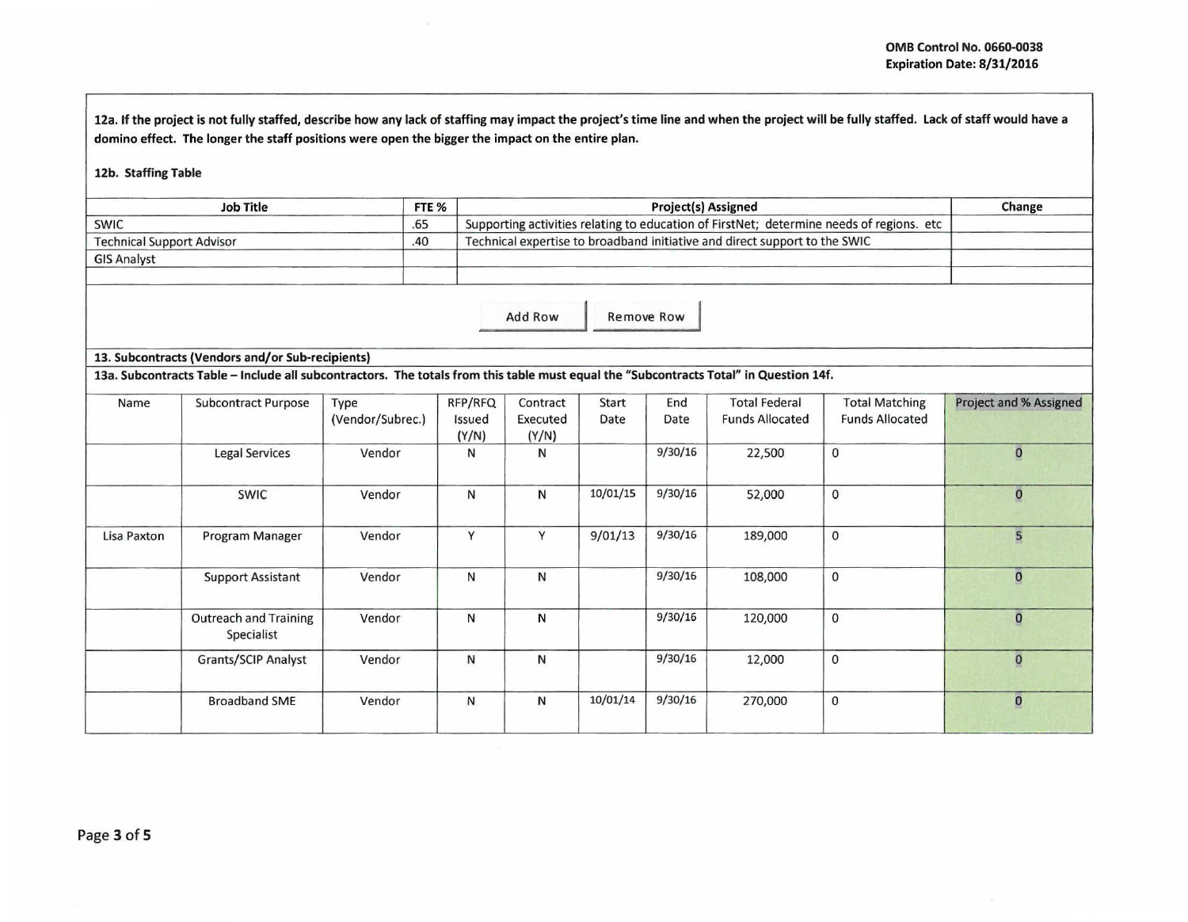12a. If the project is not fully staffed, describe how any lack of staffing may impact the project's time line and when the project will be fully staffed. Lack of staff would have a domino effect. The longer the staff positions were open the bigger the impact on the entire plan.

## 12b. Staffing Table

| <b>Job Title</b>                 | FTE <sub>%</sub> | <b>Project(s) Assigned</b>                                                               | Change |
|----------------------------------|------------------|------------------------------------------------------------------------------------------|--------|
| <b>SWIC</b>                      | .65              | Supporting activities relating to education of FirstNet; determine needs of regions. etc |        |
| <b>Technical Support Advisor</b> | .40              | Technical expertise to broadband initiative and direct support to the SWIC               |        |
| <b>GIS Analyst</b>               |                  |                                                                                          |        |

Add Row Remove Row

## 13. Subcontracts (Vendors and/or Sub-recipients)

13a. Subcontracts Table -Include all subcontractors. The totals from this table must equal the "Subcontracts Total" in Question 14f.

| Name        | <b>Subcontract Purpose</b>                 | Type<br>(Vendor/Subrec.) | RFP/RFQ<br>Issued<br>(Y/N) | Contract<br>Executed<br>(Y/N) | Start<br>Date | End<br>Date | <b>Total Federal</b><br><b>Funds Allocated</b> | <b>Total Matching</b><br><b>Funds Allocated</b> | Project and % Assigned  |
|-------------|--------------------------------------------|--------------------------|----------------------------|-------------------------------|---------------|-------------|------------------------------------------------|-------------------------------------------------|-------------------------|
|             | <b>Legal Services</b>                      | Vendor                   | Ν                          | N                             |               | 9/30/16     | 22,500                                         | $\mathbf{0}$                                    | $\overline{\mathbf{0}}$ |
|             | <b>SWIC</b>                                | Vendor                   | N                          | N                             | 10/01/15      | 9/30/16     | 52,000                                         | $\mathbf{0}$                                    | $\mathbf{O}$            |
| Lisa Paxton | Program Manager                            | Vendor                   | Y                          | Y                             | 9/01/13       | 9/30/16     | 189,000                                        | $\mathbf{0}$                                    | 5                       |
|             | <b>Support Assistant</b>                   | Vendor                   | N                          | N                             |               | 9/30/16     | 108,000                                        | $\mathbf 0$                                     | $\overline{\mathbf{0}}$ |
|             | <b>Outreach and Training</b><br>Specialist | Vendor                   | N                          | N                             |               | 9/30/16     | 120,000                                        | $\mathbf 0$                                     | $\overline{\mathbf{0}}$ |
|             | Grants/SCIP Analyst                        | Vendor                   | N                          | N                             |               | 9/30/16     | 12,000                                         | $\mathbf{0}$                                    | $\overline{0}$          |
|             | <b>Broadband SME</b>                       | Vendor                   | $\mathsf{N}$               | N                             | 10/01/14      | 9/30/16     | 270,000                                        | $\mathbf 0$                                     | $\bf{0}$                |